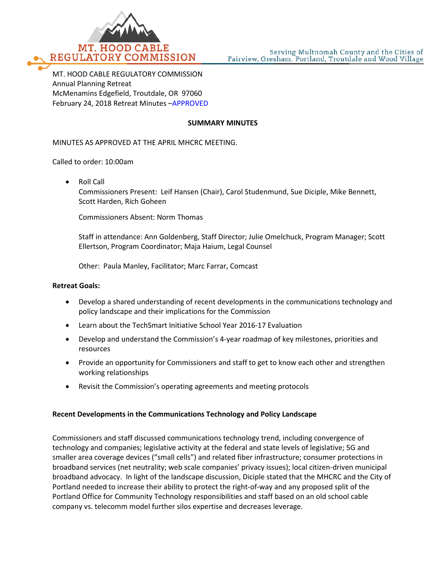

MT. HOOD CABLE REGULATORY COMMISSION Annual Planning Retreat McMenamins Edgefield, Troutdale, OR 97060 February 24, 2018 Retreat Minutes –APPROVED

#### **SUMMARY MINUTES**

MINUTES AS APPROVED AT THE APRIL MHCRC MEETING.

Called to order: 10:00am

• Roll Call Commissioners Present: Leif Hansen (Chair), Carol Studenmund, Sue Diciple, Mike Bennett, Scott Harden, Rich Goheen

Commissioners Absent: Norm Thomas

Staff in attendance: Ann Goldenberg, Staff Director; Julie Omelchuck, Program Manager; Scott Ellertson, Program Coordinator; Maja Haium, Legal Counsel

Other: Paula Manley, Facilitator; Marc Farrar, Comcast

#### **Retreat Goals:**

- Develop a shared understanding of recent developments in the communications technology and policy landscape and their implications for the Commission
- Learn about the TechSmart Initiative School Year 2016-17 Evaluation
- Develop and understand the Commission's 4-year roadmap of key milestones, priorities and resources
- Provide an opportunity for Commissioners and staff to get to know each other and strengthen working relationships
- Revisit the Commission's operating agreements and meeting protocols

#### **Recent Developments in the Communications Technology and Policy Landscape**

Commissioners and staff discussed communications technology trend, including convergence of technology and companies; legislative activity at the federal and state levels of legislative; 5G and smaller area coverage devices ("small cells") and related fiber infrastructure; consumer protections in broadband services (net neutrality; web scale companies' privacy issues); local citizen-driven municipal broadband advocacy. In light of the landscape discussion, Diciple stated that the MHCRC and the City of Portland needed to increase their ability to protect the right-of-way and any proposed split of the Portland Office for Community Technology responsibilities and staff based on an old school cable company vs. telecomm model further silos expertise and decreases leverage.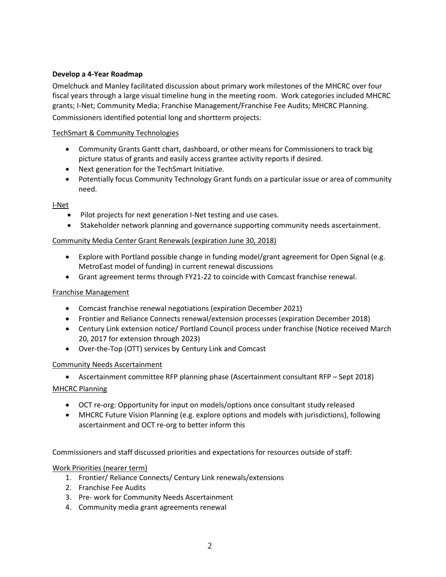# **Develop a 4-Year Roadmap**

Omelchuck and Manley facilitated discussion about primary work milestones of the MHCRC over four fiscal years through a large visual timeline hung in the meeting room. Work categories included MHCRC grants; I-Net; Community Media; Franchise Management/Franchise Fee Audits; MHCRC Planning. Commissioners identified potential long and shortterm projects:

# TechSmart & Community Technologies

- Community Grants Gantt chart, dashboard, or other means for Commissioners to track big picture status of grants and easily access grantee activity reports if desired.
- Next generation for the TechSmart Initiative.
- Potentially focus Community Technology Grant funds on a particular issue or area of community need.

# I-Net

- Pilot projects for next generation I-Net testing and use cases.
- Stakeholder network planning and governance supporting community needs ascertainment.

# Community Media Center Grant Renewals (expiration June 30, 2018)

- Explore with Portland possible change in funding model/grant agreement for Open Signal (e.g. MetroEast model of funding) in current renewal discussions
- Grant agreement terms through FY21-22 to coincide with Comcast franchise renewal.

# Franchise Management

- Comcast franchise renewal negotiations (expiration December 2021)
- Frontier and Reliance Connects renewal/extension processes (expiration December 2018)
- Century Link extension notice/ Portland Council process under franchise (Notice received March 20, 2017 for extension through 2023)
- Over-the-Top (OTT) services by Century Link and Comcast

# Community Needs Ascertainment

- Ascertainment committee RFP planning phase (Ascertainment consultant RFP Sept 2018) MHCRC Planning
	- OCT re-org: Opportunity for input on models/options once consultant study released
	- MHCRC Future Vision Planning (e.g. explore options and models with jurisdictions), following ascertainment and OCT re-org to better inform this

Commissioners and staff discussed priorities and expectations for resources outside of staff:

# Work Priorities (nearer term)

- 1. Frontier/ Reliance Connects/ Century Link renewals/extensions
- 2. Franchise Fee Audits
- 3. Pre- work for Community Needs Ascertainment
- 4. Community media grant agreements renewal